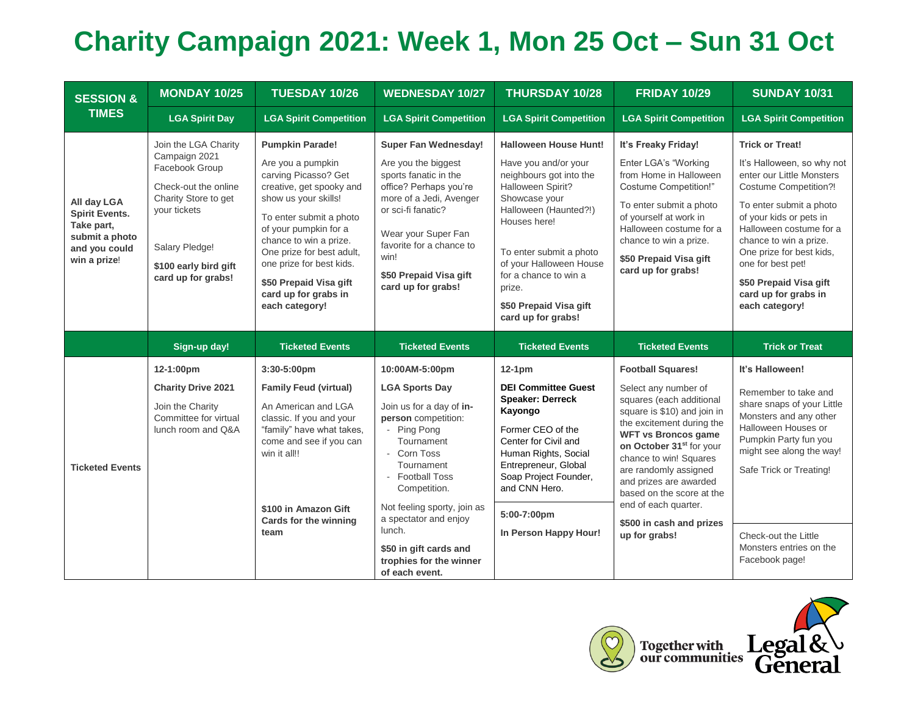## **Charity Campaign 2021: Week 1, Mon 25 Oct – Sun 31 Oct**

| <b>SESSION &amp;</b><br><b>TIMES</b>                                                                  | <b>MONDAY 10/25</b>                                                                                                                                                                      | <b>TUESDAY 10/26</b>                                                                                                                                                                                                                                                                                                               | <b>WEDNESDAY 10/27</b>                                                                                                                                                                                                                                                                                                           | <b>THURSDAY 10/28</b>                                                                                                                                                                                                                                                                                   | <b>FRIDAY 10/29</b>                                                                                                                                                                                                                                                                                                                                                                           | <b>SUNDAY 10/31</b>                                                                                                                                                                                                                                                                                                                               |
|-------------------------------------------------------------------------------------------------------|------------------------------------------------------------------------------------------------------------------------------------------------------------------------------------------|------------------------------------------------------------------------------------------------------------------------------------------------------------------------------------------------------------------------------------------------------------------------------------------------------------------------------------|----------------------------------------------------------------------------------------------------------------------------------------------------------------------------------------------------------------------------------------------------------------------------------------------------------------------------------|---------------------------------------------------------------------------------------------------------------------------------------------------------------------------------------------------------------------------------------------------------------------------------------------------------|-----------------------------------------------------------------------------------------------------------------------------------------------------------------------------------------------------------------------------------------------------------------------------------------------------------------------------------------------------------------------------------------------|---------------------------------------------------------------------------------------------------------------------------------------------------------------------------------------------------------------------------------------------------------------------------------------------------------------------------------------------------|
|                                                                                                       | <b>LGA Spirit Day</b>                                                                                                                                                                    | <b>LGA Spirit Competition</b>                                                                                                                                                                                                                                                                                                      | <b>LGA Spirit Competition</b>                                                                                                                                                                                                                                                                                                    | <b>LGA Spirit Competition</b>                                                                                                                                                                                                                                                                           | <b>LGA Spirit Competition</b>                                                                                                                                                                                                                                                                                                                                                                 | <b>LGA Spirit Competition</b>                                                                                                                                                                                                                                                                                                                     |
| All day LGA<br><b>Spirit Events.</b><br>Take part,<br>submit a photo<br>and you could<br>win a prize! | Join the LGA Charity<br>Campaign 2021<br>Facebook Group<br>Check-out the online<br>Charity Store to get<br>your tickets<br>Salary Pledge!<br>\$100 early bird gift<br>card up for grabs! | <b>Pumpkin Parade!</b><br>Are you a pumpkin<br>carving Picasso? Get<br>creative, get spooky and<br>show us your skills!<br>To enter submit a photo<br>of your pumpkin for a<br>chance to win a prize.<br>One prize for best adult,<br>one prize for best kids.<br>\$50 Prepaid Visa gift<br>card up for grabs in<br>each category! | <b>Super Fan Wednesday!</b><br>Are you the biggest<br>sports fanatic in the<br>office? Perhaps you're<br>more of a Jedi, Avenger<br>or sci-fi fanatic?<br>Wear your Super Fan<br>favorite for a chance to<br>win!<br>\$50 Prepaid Visa gift<br>card up for grabs!                                                                | <b>Halloween House Hunt!</b><br>Have you and/or your<br>neighbours got into the<br>Halloween Spirit?<br>Showcase your<br>Halloween (Haunted?!)<br>Houses here!<br>To enter submit a photo<br>of your Halloween House<br>for a chance to win a<br>prize.<br>\$50 Prepaid Visa gift<br>card up for grabs! | It's Freaky Friday!<br>Enter LGA's "Working<br>from Home in Halloween<br><b>Costume Competition!"</b><br>To enter submit a photo<br>of yourself at work in<br>Halloween costume for a<br>chance to win a prize.<br>\$50 Prepaid Visa gift<br>card up for grabs!                                                                                                                               | <b>Trick or Treat!</b><br>It's Halloween, so why not<br>enter our Little Monsters<br><b>Costume Competition?!</b><br>To enter submit a photo<br>of your kids or pets in<br>Halloween costume for a<br>chance to win a prize.<br>One prize for best kids,<br>one for best pet!<br>\$50 Prepaid Visa gift<br>card up for grabs in<br>each category! |
|                                                                                                       | Sign-up day!                                                                                                                                                                             | <b>Ticketed Events</b>                                                                                                                                                                                                                                                                                                             | <b>Ticketed Events</b>                                                                                                                                                                                                                                                                                                           | <b>Ticketed Events</b>                                                                                                                                                                                                                                                                                  | <b>Ticketed Events</b>                                                                                                                                                                                                                                                                                                                                                                        | <b>Trick or Treat</b>                                                                                                                                                                                                                                                                                                                             |
| <b>Ticketed Events</b>                                                                                | 12-1:00pm<br><b>Charity Drive 2021</b><br>Join the Charity<br>Committee for virtual<br>lunch room and Q&A                                                                                | 3:30-5:00pm<br><b>Family Feud (virtual)</b><br>An American and LGA<br>classic. If you and your<br>"family" have what takes,<br>come and see if you can<br>win it all!!<br>\$100 in Amazon Gift<br>Cards for the winning<br>team                                                                                                    | 10:00AM-5:00pm<br><b>LGA Sports Day</b><br>Join us for a day of in-<br>person competition:<br>- Ping Pong<br>Tournament<br>- Corn Toss<br>Tournament<br>- Football Toss<br>Competition.<br>Not feeling sporty, join as<br>a spectator and enjoy<br>lunch.<br>\$50 in gift cards and<br>trophies for the winner<br>of each event. | $12-1pm$<br><b>DEI Committee Guest</b><br><b>Speaker: Derreck</b><br>Kayongo<br>Former CEO of the<br>Center for Civil and<br>Human Rights, Social<br>Entrepreneur, Global<br>Soap Project Founder,<br>and CNN Hero.<br>5:00-7:00pm<br>In Person Happy Hour!                                             | <b>Football Squares!</b><br>Select any number of<br>squares (each additional<br>square is \$10) and join in<br>the excitement during the<br><b>WFT vs Broncos game</b><br>on October 31 <sup>st</sup> for your<br>chance to win! Squares<br>are randomly assigned<br>and prizes are awarded<br>based on the score at the<br>end of each quarter.<br>\$500 in cash and prizes<br>up for grabs! | It's Halloween!<br>Remember to take and<br>share snaps of your Little<br>Monsters and any other<br>Halloween Houses or<br>Pumpkin Party fun you<br>might see along the way!<br>Safe Trick or Treating!<br>Check-out the Little<br>Monsters entries on the<br>Facebook page!                                                                       |